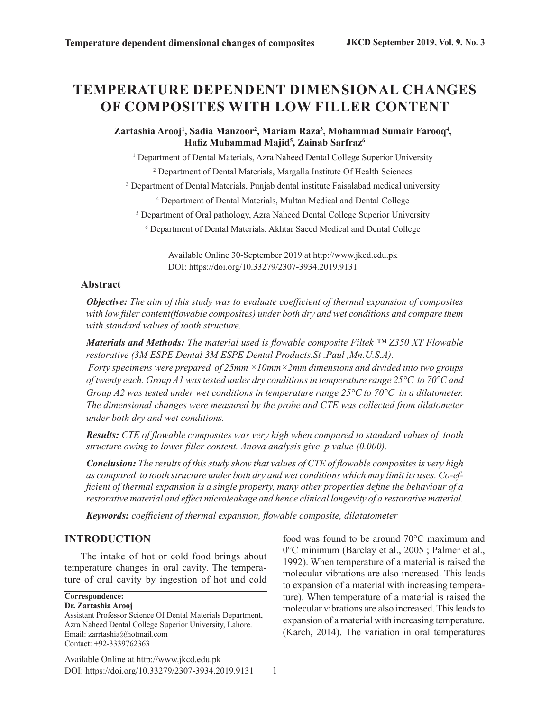# **TEMPERATURE DEPENDENT DIMENSIONAL CHANGES OF COMPOSITES WITH LOW FILLER CONTENT**

Zartashia Arooj<sup>1</sup>, Sadia Manzoor<sup>2</sup>, Mariam Raza<sup>3</sup>, Mohammad Sumair Farooq<sup>4</sup>, **Hafiz Muhammad Majid<sup>5</sup> , Zainab Sarfraz6**

<sup>1</sup> Department of Dental Materials, Azra Naheed Dental College Superior University

<sup>2</sup> Department of Dental Materials, Margalla Institute Of Health Sciences

<sup>3</sup> Department of Dental Materials, Punjab dental institute Faisalabad medical university

4 Department of Dental Materials, Multan Medical and Dental College

<sup>5</sup> Department of Oral pathology, Azra Naheed Dental College Superior University

6 Department of Dental Materials, Akhtar Saeed Medical and Dental College

DOI: https://doi.org/10.33279/2307-3934.2019.9131 Available Online 30-September 2019 at http://www.jkcd.edu.pk

## **Abstract**

*with standard values of tooth structure. with low filler content(flowable composites) under both dry and wet conditions and compare them Objective: The aim of this study was to evaluate coefficient of thermal expansion of composites*

*restorative (3M ESPE Dental 3M ESPE Dental Products.St .Paul ,Mn.U.S.A). Materials and Methods: The material used is flowable composite Filtek ™ Z350 XT Flowable*

*under both dry and wet conditions. The dimensional changes were measured by the probe and CTE was collected from dilatometer Group A2 was tested under wet conditions in temperature range 25°C to 70°C in a dilatometer. of twenty each. Group A1 was tested under dry conditions in temperature range 25°C to 70°C and Forty specimens were prepared of 25mm ×10mm×2mm dimensions and divided into two groups*

*structure owing to lower filler content. Anova analysis give p value (0.000). Results: CTE of flowable composites was very high when compared to standard values of tooth*

*restorative material and effect microleakage and hence clinical longevity of a restorative material. ficient of thermal expansion is a single property, many other properties define the behaviour of a as compared to tooth structure under both dry and wet conditions which may limit its uses. Co-ef-Conclusion: The results of this study show that values of CTE of flowable composites is very high*

*Keywords: coefficient of thermal expansion, flowable composite, dilatatometer*

## **INTRODUCTION**

The intake of hot or cold food brings about temperature changes in oral cavity. The temperature of oral cavity by ingestion of hot and cold

**Correspondence:**

**Dr. Zartashia Arooj** Assistant Professor Science Of Dental Materials Department, Azra Naheed Dental College Superior University, Lahore. Email: zarrtashia@hotmail.com Contact: +92-3339762363

DOI: https://doi.org/10.33279/2307-3934.2019.9131 Available Online at http://www.jkcd.edu.pk

food was found to be around 70°C maximum and 0°C minimum (Barclay et al., 2005 ; Palmer et al., 1992). When temperature of a material is raised the molecular vibrations are also increased. This leads to expansion of a material with increasing temperature). When temperature of a material is raised the molecular vibrations are also increased. This leads to expansion of a material with increasing temperature. (Karch, 2014). The variation in oral temperatures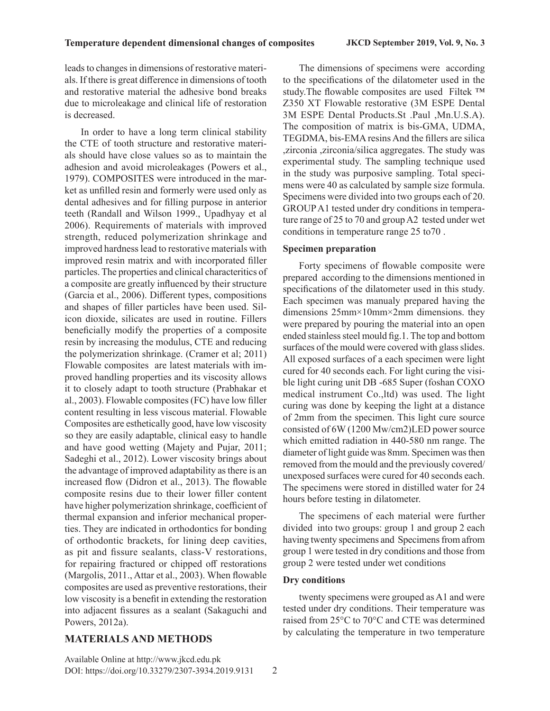leads to changes in dimensions of restorative materials. If there is great difference in dimensions of tooth and restorative material the adhesive bond breaks due to microleakage and clinical life of restoration is decreased.

In order to have a long term clinical stability the CTE of tooth structure and restorative materials should have close values so as to maintain the adhesion and avoid microleakages (Powers et al., 1979). COMPOSITES were introduced in the market as unfilled resin and formerly were used only as dental adhesives and for filling purpose in anterior teeth (Randall and Wilson 1999., Upadhyay et al 2006). Requirements of materials with improved strength, reduced polymerization shrinkage and improved hardness lead to restorative materials with improved resin matrix and with incorporated filler particles. The properties and clinical characteritics of a composite are greatly influenced by their structure (Garcia et al., 2006). Different types, compositions and shapes of filler particles have been used. Silicon dioxide, silicates are used in routine. Fillers beneficially modify the properties of a composite resin by increasing the modulus, CTE and reducing the polymerization shrinkage. (Cramer et al; 2011) Flowable composites are latest materials with improved handling properties and its viscosity allows it to closely adapt to tooth structure (Prabhakar et al., 2003). Flowable composites (FC) have low filler content resulting in less viscous material. Flowable Composites are esthetically good, have low viscosity so they are easily adaptable, clinical easy to handle and have good wetting (Majety and Pujar, 2011; Sadeghi et al., 2012). Lower viscosity brings about the advantage of improved adaptability as there is an increased flow (Didron et al., 2013). The flowable composite resins due to their lower filler content have higher polymerization shrinkage, coefficient of thermal expansion and inferior mechanical properties. They are indicated in orthodontics for bonding of orthodontic brackets, for lining deep cavities, as pit and fissure sealants, class-V restorations, for repairing fractured or chipped off restorations (Margolis, 2011., Attar et al., 2003). When flowable composites are used as preventive restorations, their low viscosity is a benefit in extending the restoration into adjacent fissures as a sealant (Sakaguchi and Powers, 2012a).

## **MATERIALS AND METHODS**

The dimensions of specimens were according to the specifications of the dilatometer used in the study.The flowable composites are used Filtek ™ Z350 XT Flowable restorative (3M ESPE Dental 3M ESPE Dental Products.St .Paul ,Mn.U.S.A). The composition of matrix is bis-GMA, UDMA, TEGDMA, bis-EMA resins And the fillers are silica ,zirconia ,zirconia/silica aggregates. The study was experimental study. The sampling technique used in the study was purposive sampling. Total specimens were 40 as calculated by sample size formula. Specimens were divided into two groups each of 20. GROUP A1 tested under dry conditions in temperature range of 25 to 70 and group A2 tested under wet conditions in temperature range 25 to70 .

#### **Specimen preparation**

Forty specimens of flowable composite were prepared according to the dimensions mentioned in specifications of the dilatometer used in this study. Each specimen was manualy prepared having the dimensions 25mm×10mm×2mm dimensions. they were prepared by pouring the material into an open ended stainless steel mould fig.1. The top and bottom surfaces of the mould were covered with glass slides. All exposed surfaces of a each specimen were light cured for 40 seconds each. For light curing the visible light curing unit DB -685 Super (foshan COXO medical instrument Co.,ltd) was used. The light curing was done by keeping the light at a distance of 2mm from the specimen. This light cure source consisted of 6W (1200 Mw/cm2)LED power source which emitted radiation in 440-580 nm range. The diameter of light guide was 8mm. Specimen was then removed from the mould and the previously covered/ unexposed surfaces were cured for 40 seconds each. The specimens were stored in distilled water for 24 hours before testing in dilatometer.

The specimens of each material were further divided into two groups: group 1 and group 2 each having twenty specimens and Specimens from afrom group 1 were tested in dry conditions and those from group 2 were tested under wet conditions

#### **Dry conditions**

twenty specimens were grouped as A1 and were tested under dry conditions. Their temperature was raised from 25°C to 70°C and CTE was determined by calculating the temperature in two temperature

DOI: https://doi.org/10.33279/2307-3934.2019.9131 Available Online at http://www.jkcd.edu.pk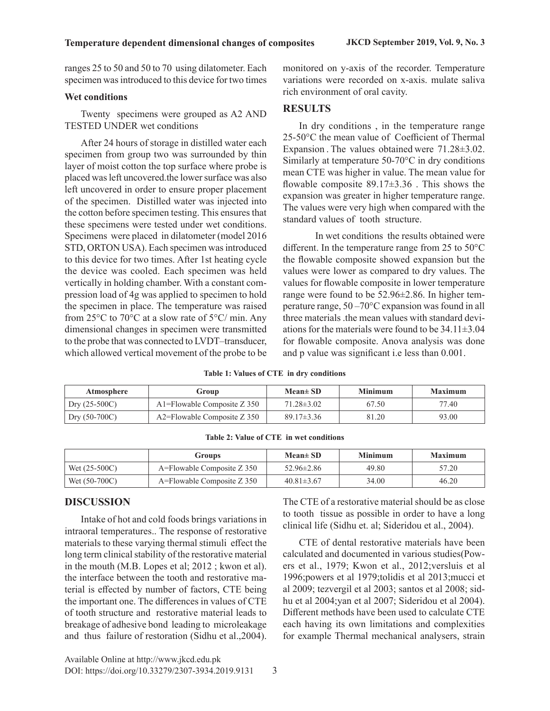ranges 25 to 50 and 50 to 70 using dilatometer. Each specimen was introduced to this device for two times

#### **Wet conditions**

Twenty specimens were grouped as A2 AND TESTED UNDER wet conditions

After 24 hours of storage in distilled water each specimen from group two was surrounded by thin layer of moist cotton the top surface where probe is placed was left uncovered.the lower surface was also left uncovered in order to ensure proper placement of the specimen. Distilled water was injected into the cotton before specimen testing. This ensures that these specimens were tested under wet conditions. Specimens were placed in dilatometer (model 2016 STD, ORTON USA). Each specimen was introduced to this device for two times. After 1st heating cycle the device was cooled. Each specimen was held vertically in holding chamber. With a constant compression load of 4g was applied to specimen to hold the specimen in place. The temperature was raised from 25°C to 70°C at a slow rate of 5°C/ min. Any dimensional changes in specimen were transmitted to the probe that was connected to LVDT–transducer, which allowed vertical movement of the probe to be

monitored on y-axis of the recorder. Temperature variations were recorded on x-axis. mulate saliva rich environment of oral cavity.

## **RESULTS**

In dry conditions , in the temperature range 25-50°C the mean value of Coefficient of Thermal Expansion . The values obtained were 71.28±3.02. Similarly at temperature 50-70°C in dry conditions mean CTE was higher in value. The mean value for flowable composite  $89.17 \pm 3.36$ . This shows the expansion was greater in higher temperature range. The values were very high when compared with the standard values of tooth structure.

 In wet conditions the results obtained were different. In the temperature range from 25 to 50°C the flowable composite showed expansion but the values were lower as compared to dry values. The values for flowable composite in lower temperature range were found to be 52.96±2.86. In higher temperature range, 50 –70°C expansion was found in all three materials .the mean values with standard deviations for the materials were found to be  $34.11\pm3.04$ for flowable composite. Anova analysis was done and p value was significant i.e less than 0.001.

#### **Table 1: Values of CTE in dry conditions**

| Atmosphere      | Group                           | $Mean \pm SD$    | <b>Minimum</b> | <b>Maximum</b> |
|-----------------|---------------------------------|------------------|----------------|----------------|
| $Dry (25-500C)$ | $A1 =$ Flowable Composite Z 350 | $71.28 \pm 3.02$ | 67.50          | 77.40          |
| $Dry (50-700C)$ | $A2 =$ Flowable Composite Z 350 | $89.17 \pm 3.36$ | 81.20          | 93.00          |

| Table 2: Value of CTE in wet conditions |  |
|-----------------------------------------|--|
|-----------------------------------------|--|

|                 | Groups                         | $Mean \pm SD$    | Minimum | Maximum |
|-----------------|--------------------------------|------------------|---------|---------|
| Wet $(25-500C)$ | A=Flowable Composite Z 350     | $52.96 \pm 2.86$ | 49.80   | 57.20   |
| Wet $(50-700C)$ | $A =$ Flowable Composite Z 350 | $40.81 \pm 3.67$ | 34.00   | 46.20   |

## **DISCUSSION**

Intake of hot and cold foods brings variations in intraoral temperatures.. The response of restorative materials to these varying thermal stimuli effect the long term clinical stability of the restorative material in the mouth (M.B. Lopes et al; 2012 ; kwon et al). the interface between the tooth and restorative material is effected by number of factors, CTE being the important one. The differences in values of CTE of tooth structure and restorative material leads to breakage of adhesive bond leading to microleakage and thus failure of restoration (Sidhu et al.,2004). The CTE of a restorative material should be as close to tooth tissue as possible in order to have a long clinical life (Sidhu et. al; Sideridou et al., 2004).

CTE of dental restorative materials have been calculated and documented in various studies(Powers et al., 1979; Kwon et al., 2012;versluis et al 1996;powers et al 1979;tolidis et al 2013;mucci et al 2009; tezvergil et al 2003; santos et al 2008; sidhu et al 2004;yan et al 2007; Sideridou et al 2004). Different methods have been used to calculate CTE each having its own limitations and complexities for example Thermal mechanical analysers, strain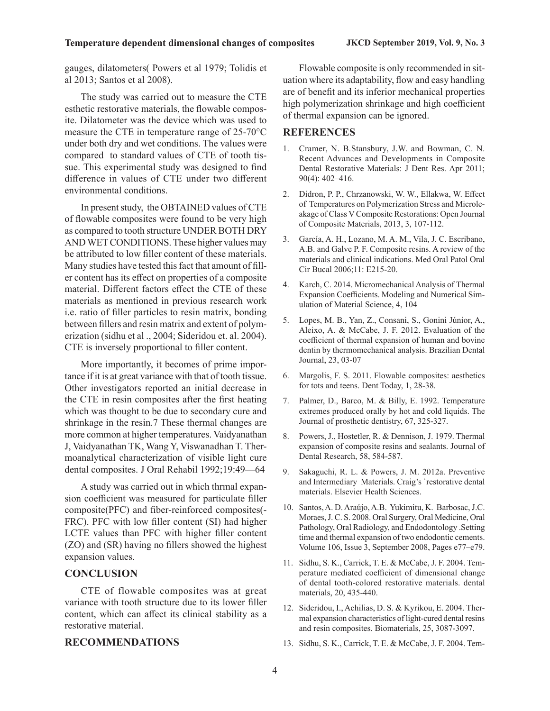#### **Temperature dependent dimensional changes of composites JKCD September 2019, Vol. 9, No. 3**

gauges, dilatometers( Powers et al 1979; Tolidis et al 2013; Santos et al 2008).

The study was carried out to measure the CTE esthetic restorative materials, the flowable composite. Dilatometer was the device which was used to measure the CTE in temperature range of 25-70°C under both dry and wet conditions. The values were compared to standard values of CTE of tooth tissue. This experimental study was designed to find difference in values of CTE under two different environmental conditions.

In present study, the OBTAINED values of CTE of flowable composites were found to be very high as compared to tooth structure UNDER BOTH DRY AND WET CONDITIONS. These higher values may be attributed to low filler content of these materials. Many studies have tested this fact that amount of filler content has its effect on properties of a composite material. Different factors effect the CTE of these materials as mentioned in previous research work i.e. ratio of filler particles to resin matrix, bonding between fillers and resin matrix and extent of polymerization (sidhu et al ., 2004; Sideridou et. al. 2004). CTE is inversely proportional to filler content.

More importantly, it becomes of prime importance if it is at great variance with that of tooth tissue. Other investigators reported an initial decrease in the CTE in resin composites after the first heating which was thought to be due to secondary cure and shrinkage in the resin.7 These thermal changes are more common at higher temperatures. Vaidyanathan J, Vaidyanathan TK, Wang Y, Viswanadhan T. Thermoanalytical characterization of visible light cure dental composites. J Oral Rehabil 1992;19:49—64

A study was carried out in which thrmal expansion coefficient was measured for particulate filler composite(PFC) and fiber-reinforced composites(- FRC). PFC with low filler content (SI) had higher LCTE values than PFC with higher filler content (ZO) and (SR) having no fillers showed the highest expansion values.

#### **CONCLUSION**

CTE of flowable composites was at great variance with tooth structure due to its lower filler content, which can affect its clinical stability as a restorative material.

#### **RECOMMENDATIONS**

Flowable composite is only recommended in situation where its adaptability, flow and easy handling are of benefit and its inferior mechanical properties high polymerization shrinkage and high coefficient of thermal expansion can be ignored.

#### **REFERENCES**

- 1. Cramer, N. B.Stansbury, J.W. and Bowman, C. N. Recent Advances and Developments in Composite Dental Restorative Materials: J Dent Res. Apr 2011; 90(4): 402–416.
- 2. Didron, P. P., Chrzanowski, W. W., Ellakwa, W. Effect of Temperatures on Polymerization Stress and Microleakage of Class V Composite Restorations: Open Journal of Composite Materials, 2013, 3, 107-112.
- 3. García, A. H., Lozano, M. A. M., Vila, J. C. Escribano, A.B. and Galve P. F. Composite resins. A review of the materials and clinical indications. Med Oral Patol Oral Cir Bucal 2006;11: E215-20.
- 4. Karch, C. 2014. Micromechanical Analysis of Thermal Expansion Coefficients. Modeling and Numerical Simulation of Material Science, 4, 104
- 5. Lopes, M. B., Yan, Z., Consani, S., Gonini Júnior, A., Aleixo, A. & McCabe, J. F. 2012. Evaluation of the coefficient of thermal expansion of human and bovine dentin by thermomechanical analysis. Brazilian Dental Journal, 23, 03-07
- 6. Margolis, F. S. 2011. Flowable composites: aesthetics for tots and teens. Dent Today, 1, 28-38.
- 7. Palmer, D., Barco, M. & Billy, E. 1992. Temperature extremes produced orally by hot and cold liquids. The Journal of prosthetic dentistry, 67, 325-327.
- 8. Powers, J., Hostetler, R. & Dennison, J. 1979. Thermal expansion of composite resins and sealants. Journal of Dental Research, 58, 584-587.
- 9. Sakaguchi, R. L. & Powers, J. M. 2012a. Preventive and Intermediary Materials. Craig's 'restorative dental materials. Elsevier Health Sciences.
- 10. Santos, A. D. Araújo, A.B. Yukimitu, K. Barbosac, J.C. Moraes, J. C. S. 2008. Oral Surgery, Oral Medicine, Oral Pathology, Oral Radiology, and Endodontology .Setting time and thermal expansion of two endodontic cements. Volume 106, Issue 3, September 2008, Pages e77–e79.
- 11. Sidhu, S. K., Carrick, T. E. & McCabe, J. F. 2004. Temperature mediated coefficient of dimensional change of dental tooth-colored restorative materials. dental materials, 20, 435-440.
- 12. Sideridou, I., Achilias, D. S. & Kyrikou, E. 2004. Thermal expansion characteristics of light-cured dental resins and resin composites. Biomaterials, 25, 3087-3097.
- 13. Sidhu, S. K., Carrick, T. E. & McCabe, J. F. 2004. Tem-